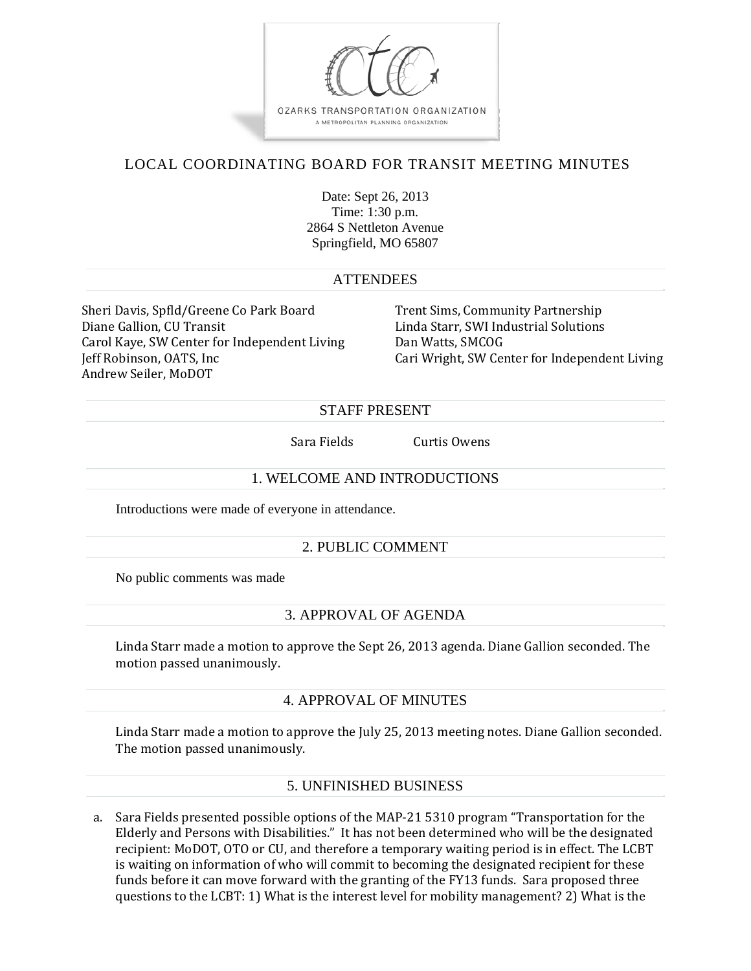

# LOCAL COORDINATING BOARD FOR TRANSIT MEETING MINUTES

Date: Sept 26, 2013 Time: 1:30 p.m. 2864 S Nettleton Avenue Springfield, MO 65807

### **ATTENDEES**

Sheri Davis, Spfld/Greene Co Park Board Trent Sims, Community Partnership Diane Gallion, CU Transit **Linda Starr, SWI Industrial Solutions** Carol Kaye, SW Center for Independent Living Dan Watts, SMCOG Andrew Seiler, MoDOT

Jeff Robinson, OATS, Inc **Cari Wright, SW Center for Independent Living** 

### STAFF PRESENT

Sara Fields Curtis Owens

#### 1. WELCOME AND INTRODUCTIONS

Introductions were made of everyone in attendance.

### 2. PUBLIC COMMENT

No public comments was made

### 3. APPROVAL OF AGENDA

Linda Starr made a motion to approve the Sept 26, 2013 agenda. Diane Gallion seconded. The motion passed unanimously.

### 4. APPROVAL OF MINUTES

Linda Starr made a motion to approve the July 25, 2013 meeting notes. Diane Gallion seconded. The motion passed unanimously.

## 5. UNFINISHED BUSINESS

a. Sara Fields presented possible options of the MAP-21 5310 program "Transportation for the Elderly and Persons with Disabilities." It has not been determined who will be the designated recipient: MoDOT, OTO or CU, and therefore a temporary waiting period is in effect. The LCBT is waiting on information of who will commit to becoming the designated recipient for these funds before it can move forward with the granting of the FY13 funds. Sara proposed three questions to the LCBT: 1) What is the interest level for mobility management? 2) What is the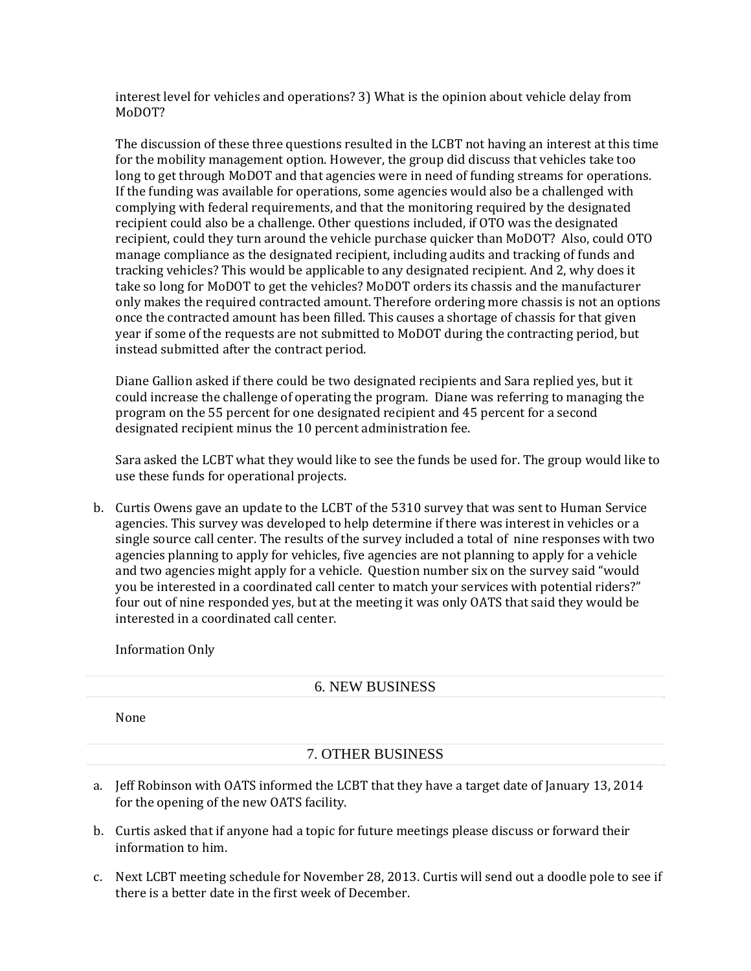interest level for vehicles and operations? 3) What is the opinion about vehicle delay from MoDOT? 

The discussion of these three questions resulted in the LCBT not having an interest at this time for the mobility management option. However, the group did discuss that vehicles take too long to get through MoDOT and that agencies were in need of funding streams for operations. If the funding was available for operations, some agencies would also be a challenged with complying with federal requirements, and that the monitoring required by the designated recipient could also be a challenge. Other questions included, if OTO was the designated recipient, could they turn around the vehicle purchase quicker than MoDOT? Also, could OTO manage compliance as the designated recipient, including audits and tracking of funds and tracking vehicles? This would be applicable to any designated recipient. And 2, why does it take so long for MoDOT to get the vehicles? MoDOT orders its chassis and the manufacturer only makes the required contracted amount. Therefore ordering more chassis is not an options once the contracted amount has been filled. This causes a shortage of chassis for that given year if some of the requests are not submitted to MoDOT during the contracting period, but instead submitted after the contract period.

Diane Gallion asked if there could be two designated recipients and Sara replied yes, but it could increase the challenge of operating the program. Diane was referring to managing the program on the 55 percent for one designated recipient and 45 percent for a second designated recipient minus the 10 percent administration fee.

Sara asked the LCBT what they would like to see the funds be used for. The group would like to use these funds for operational projects.

b. Curtis Owens gave an update to the LCBT of the 5310 survey that was sent to Human Service agencies. This survey was developed to help determine if there was interest in vehicles or a single source call center. The results of the survey included a total of nine responses with two agencies planning to apply for vehicles, five agencies are not planning to apply for a vehicle and two agencies might apply for a vehicle. Question number six on the survey said "would" you be interested in a coordinated call center to match your services with potential riders?" four out of nine responded yes, but at the meeting it was only OATS that said they would be interested in a coordinated call center.

Information Only 

### 6. NEW BUSINESS

None 

### 7. OTHER BUSINESS

- a. Jeff Robinson with OATS informed the LCBT that they have a target date of January 13, 2014 for the opening of the new OATS facility.
- b. Curtis asked that if anyone had a topic for future meetings please discuss or forward their information to him.
- c. Next LCBT meeting schedule for November 28, 2013. Curtis will send out a doodle pole to see if there is a better date in the first week of December.